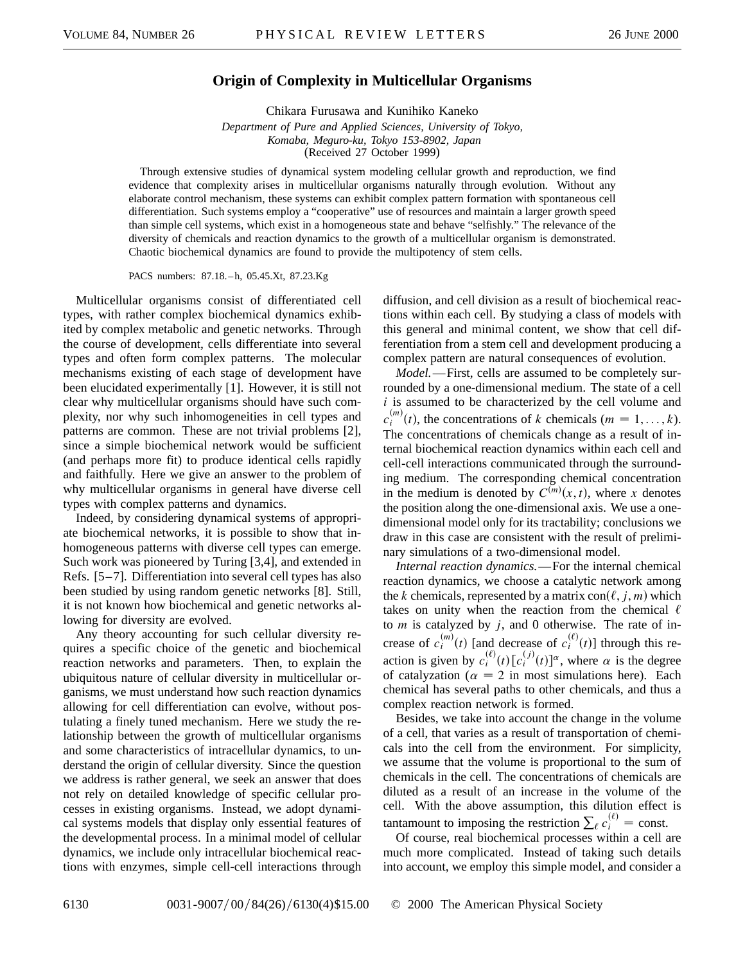## **Origin of Complexity in Multicellular Organisms**

Chikara Furusawa and Kunihiko Kaneko

*Department of Pure and Applied Sciences, University of Tokyo, Komaba, Meguro-ku, Tokyo 153-8902, Japan* (Received 27 October 1999)

Through extensive studies of dynamical system modeling cellular growth and reproduction, we find evidence that complexity arises in multicellular organisms naturally through evolution. Without any elaborate control mechanism, these systems can exhibit complex pattern formation with spontaneous cell differentiation. Such systems employ a "cooperative" use of resources and maintain a larger growth speed than simple cell systems, which exist in a homogeneous state and behave "selfishly." The relevance of the diversity of chemicals and reaction dynamics to the growth of a multicellular organism is demonstrated. Chaotic biochemical dynamics are found to provide the multipotency of stem cells.

PACS numbers: 87.18.–h, 05.45.Xt, 87.23.Kg

Multicellular organisms consist of differentiated cell types, with rather complex biochemical dynamics exhibited by complex metabolic and genetic networks. Through the course of development, cells differentiate into several types and often form complex patterns. The molecular mechanisms existing of each stage of development have been elucidated experimentally [1]. However, it is still not clear why multicellular organisms should have such complexity, nor why such inhomogeneities in cell types and patterns are common. These are not trivial problems [2], since a simple biochemical network would be sufficient (and perhaps more fit) to produce identical cells rapidly and faithfully. Here we give an answer to the problem of why multicellular organisms in general have diverse cell types with complex patterns and dynamics.

Indeed, by considering dynamical systems of appropriate biochemical networks, it is possible to show that inhomogeneous patterns with diverse cell types can emerge. Such work was pioneered by Turing [3,4], and extended in Refs. [5–7]. Differentiation into several cell types has also been studied by using random genetic networks [8]. Still, it is not known how biochemical and genetic networks allowing for diversity are evolved.

Any theory accounting for such cellular diversity requires a specific choice of the genetic and biochemical reaction networks and parameters. Then, to explain the ubiquitous nature of cellular diversity in multicellular organisms, we must understand how such reaction dynamics allowing for cell differentiation can evolve, without postulating a finely tuned mechanism. Here we study the relationship between the growth of multicellular organisms and some characteristics of intracellular dynamics, to understand the origin of cellular diversity. Since the question we address is rather general, we seek an answer that does not rely on detailed knowledge of specific cellular processes in existing organisms. Instead, we adopt dynamical systems models that display only essential features of the developmental process. In a minimal model of cellular dynamics, we include only intracellular biochemical reactions with enzymes, simple cell-cell interactions through diffusion, and cell division as a result of biochemical reactions within each cell. By studying a class of models with this general and minimal content, we show that cell differentiation from a stem cell and development producing a complex pattern are natural consequences of evolution.

*Model.*—First, cells are assumed to be completely surrounded by a one-dimensional medium. The state of a cell *i* is assumed to be characterized by the cell volume and  $c_i^{(m)}(t)$ , the concentrations of *k* chemicals (*m* = 1, ..., *k*). The concentrations of chemicals change as a result of internal biochemical reaction dynamics within each cell and cell-cell interactions communicated through the surrounding medium. The corresponding chemical concentration in the medium is denoted by  $C^{(m)}(x, t)$ , where *x* denotes the position along the one-dimensional axis. We use a onedimensional model only for its tractability; conclusions we draw in this case are consistent with the result of preliminary simulations of a two-dimensional model.

*Internal reaction dynamics.*—For the internal chemical reaction dynamics, we choose a catalytic network among the *k* chemicals, represented by a matrix  $con(\ell, j, m)$  which takes on unity when the reaction from the chemical  $\ell$ to *m* is catalyzed by *j*, and 0 otherwise. The rate of increase of  $c_i^{(m)}(t)$  [and decrease of  $c_i^{(\ell)}(t)$ ] through this reaction is given by  $c_i^{(\ell)}(t) [c_i^{(j)}(t)]^{\alpha}$ , where  $\alpha$  is the degree of catalyzation ( $\alpha = 2$  in most simulations here). Each chemical has several paths to other chemicals, and thus a complex reaction network is formed.

Besides, we take into account the change in the volume of a cell, that varies as a result of transportation of chemicals into the cell from the environment. For simplicity, we assume that the volume is proportional to the sum of chemicals in the cell. The concentrations of chemicals are diluted as a result of an increase in the volume of the cell. With the above assumption, this dilution effect is tantamount to imposing the restriction  $\sum_{i} c_i^{(i)} = \text{const.}$ 

Of course, real biochemical processes within a cell are much more complicated. Instead of taking such details into account, we employ this simple model, and consider a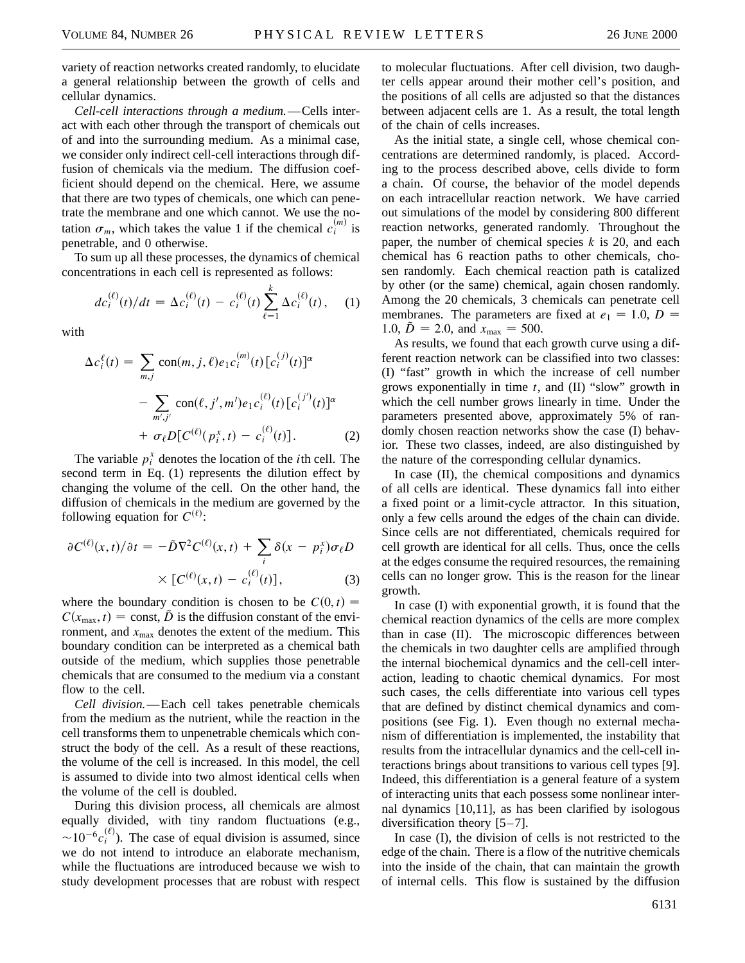variety of reaction networks created randomly, to elucidate a general relationship between the growth of cells and cellular dynamics.

*Cell-cell interactions through a medium.*—Cells interact with each other through the transport of chemicals out of and into the surrounding medium. As a minimal case, we consider only indirect cell-cell interactions through diffusion of chemicals via the medium. The diffusion coefficient should depend on the chemical. Here, we assume that there are two types of chemicals, one which can penetrate the membrane and one which cannot. We use the notation  $\sigma_m$ , which takes the value 1 if the chemical  $c_i^{(m)}$  is penetrable, and 0 otherwise.

To sum up all these processes, the dynamics of chemical concentrations in each cell is represented as follows:

$$
dc_i^{(\ell)}(t)/dt = \Delta c_i^{(\ell)}(t) - c_i^{(\ell)}(t) \sum_{\ell=1}^k \Delta c_i^{(\ell)}(t), \quad (1)
$$

with

$$
\Delta c_i^{\ell}(t) = \sum_{m,j} \text{con}(m, j, \ell) e_1 c_i^{(m)}(t) [c_i^{(j)}(t)]^{\alpha}
$$

$$
- \sum_{m',j'} \text{con}(\ell, j', m') e_1 c_i^{(\ell)}(t) [c_i^{(j')}(t)]^{\alpha}
$$

$$
+ \sigma_{\ell} D[C^{(\ell)}(p_i^x, t) - c_i^{(\ell)}(t)]. \tag{2}
$$

The variable  $p_i^x$  denotes the location of the *i*th cell. The second term in Eq. (1) represents the dilution effect by changing the volume of the cell. On the other hand, the diffusion of chemicals in the medium are governed by the following equation for  $C^{(\ell)}$ :

$$
\partial C^{(\ell)}(x,t)/\partial t = -\tilde{D}\nabla^2 C^{(\ell)}(x,t) + \sum_i \delta(x - p_i^x)\sigma_\ell D
$$
  
 
$$
\times [C^{(\ell)}(x,t) - c_i^{(\ell)}(t)], \qquad (3)
$$

where the boundary condition is chosen to be  $C(0, t)$  =  $C(x_{\text{max}}, t) = \text{const}, \tilde{D}$  is the diffusion constant of the environment, and  $x_{\text{max}}$  denotes the extent of the medium. This boundary condition can be interpreted as a chemical bath outside of the medium, which supplies those penetrable chemicals that are consumed to the medium via a constant flow to the cell.

*Cell division.*—Each cell takes penetrable chemicals from the medium as the nutrient, while the reaction in the cell transforms them to unpenetrable chemicals which construct the body of the cell. As a result of these reactions, the volume of the cell is increased. In this model, the cell is assumed to divide into two almost identical cells when the volume of the cell is doubled.

During this division process, all chemicals are almost equally divided, with tiny random fluctuations (e.g.,  $\sim 10^{-6} c_i^{(\ell)}$ ). The case of equal division is assumed, since we do not intend to introduce an elaborate mechanism, while the fluctuations are introduced because we wish to study development processes that are robust with respect

to molecular fluctuations. After cell division, two daughter cells appear around their mother cell's position, and the positions of all cells are adjusted so that the distances between adjacent cells are 1. As a result, the total length of the chain of cells increases.

As the initial state, a single cell, whose chemical concentrations are determined randomly, is placed. According to the process described above, cells divide to form a chain. Of course, the behavior of the model depends on each intracellular reaction network. We have carried out simulations of the model by considering 800 different reaction networks, generated randomly. Throughout the paper, the number of chemical species *k* is 20, and each chemical has 6 reaction paths to other chemicals, chosen randomly. Each chemical reaction path is catalized by other (or the same) chemical, again chosen randomly. Among the 20 chemicals, 3 chemicals can penetrate cell membranes. The parameters are fixed at  $e_1 = 1.0$ ,  $D =$ 1.0,  $\ddot{D} = 2.0$ , and  $x_{\text{max}} = 500$ .

As results, we found that each growth curve using a different reaction network can be classified into two classes: (I) "fast" growth in which the increase of cell number grows exponentially in time *t*, and (II) "slow" growth in which the cell number grows linearly in time. Under the parameters presented above, approximately 5% of randomly chosen reaction networks show the case (I) behavior. These two classes, indeed, are also distinguished by the nature of the corresponding cellular dynamics.

In case (II), the chemical compositions and dynamics of all cells are identical. These dynamics fall into either a fixed point or a limit-cycle attractor. In this situation, only a few cells around the edges of the chain can divide. Since cells are not differentiated, chemicals required for cell growth are identical for all cells. Thus, once the cells at the edges consume the required resources, the remaining cells can no longer grow. This is the reason for the linear growth.

In case (I) with exponential growth, it is found that the chemical reaction dynamics of the cells are more complex than in case (II). The microscopic differences between the chemicals in two daughter cells are amplified through the internal biochemical dynamics and the cell-cell interaction, leading to chaotic chemical dynamics. For most such cases, the cells differentiate into various cell types that are defined by distinct chemical dynamics and compositions (see Fig. 1). Even though no external mechanism of differentiation is implemented, the instability that results from the intracellular dynamics and the cell-cell interactions brings about transitions to various cell types [9]. Indeed, this differentiation is a general feature of a system of interacting units that each possess some nonlinear internal dynamics [10,11], as has been clarified by isologous diversification theory [5–7].

In case (I), the division of cells is not restricted to the edge of the chain. There is a flow of the nutritive chemicals into the inside of the chain, that can maintain the growth of internal cells. This flow is sustained by the diffusion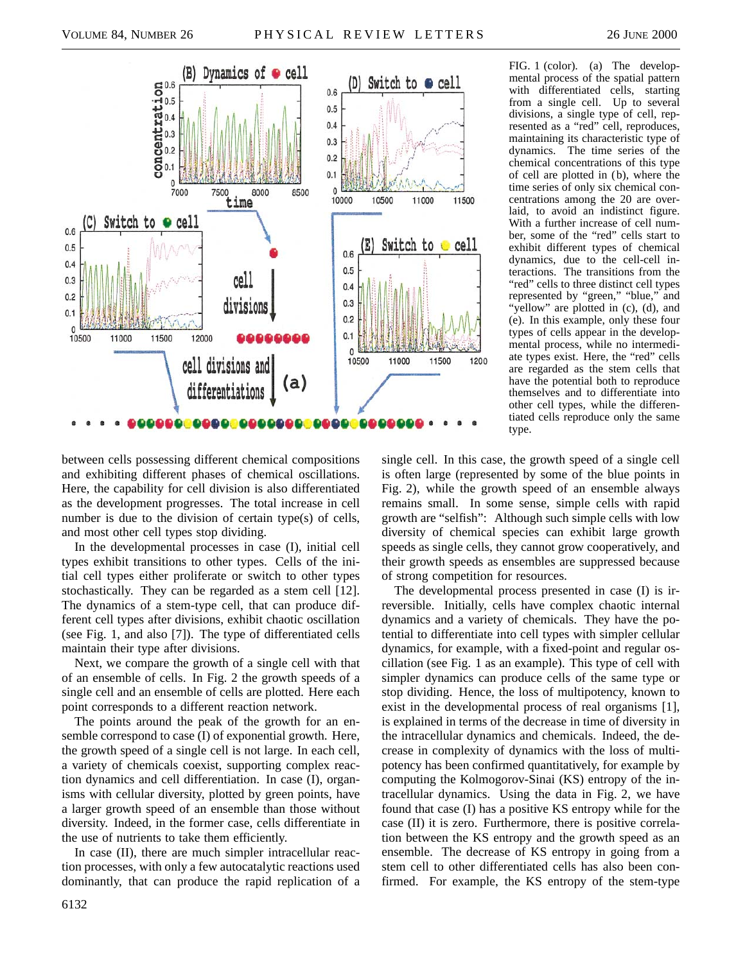

between cells possessing different chemical compositions and exhibiting different phases of chemical oscillations. Here, the capability for cell division is also differentiated as the development progresses. The total increase in cell number is due to the division of certain type(s) of cells, and most other cell types stop dividing.

In the developmental processes in case (I), initial cell types exhibit transitions to other types. Cells of the initial cell types either proliferate or switch to other types stochastically. They can be regarded as a stem cell [12]. The dynamics of a stem-type cell, that can produce different cell types after divisions, exhibit chaotic oscillation (see Fig. 1, and also [7]). The type of differentiated cells maintain their type after divisions.

Next, we compare the growth of a single cell with that of an ensemble of cells. In Fig. 2 the growth speeds of a single cell and an ensemble of cells are plotted. Here each point corresponds to a different reaction network.

The points around the peak of the growth for an ensemble correspond to case (I) of exponential growth. Here, the growth speed of a single cell is not large. In each cell, a variety of chemicals coexist, supporting complex reaction dynamics and cell differentiation. In case (I), organisms with cellular diversity, plotted by green points, have a larger growth speed of an ensemble than those without diversity. Indeed, in the former case, cells differentiate in the use of nutrients to take them efficiently.

In case (II), there are much simpler intracellular reaction processes, with only a few autocatalytic reactions used dominantly, that can produce the rapid replication of a FIG. 1 (color). (a) The developmental process of the spatial pattern with differentiated cells, starting from a single cell. Up to several divisions, a single type of cell, represented as a "red" cell, reproduces, maintaining its characteristic type of dynamics. The time series of the chemical concentrations of this type of cell are plotted in (b), where the time series of only six chemical concentrations among the 20 are overlaid, to avoid an indistinct figure. With a further increase of cell number, some of the "red" cells start to exhibit different types of chemical dynamics, due to the cell-cell interactions. The transitions from the "red" cells to three distinct cell types represented by "green," "blue," and "yellow" are plotted in (c), (d), and (e). In this example, only these four types of cells appear in the developmental process, while no intermediate types exist. Here, the "red" cells are regarded as the stem cells that have the potential both to reproduce themselves and to differentiate into other cell types, while the differentiated cells reproduce only the same type.

single cell. In this case, the growth speed of a single cell is often large (represented by some of the blue points in Fig. 2), while the growth speed of an ensemble always remains small. In some sense, simple cells with rapid growth are "selfish": Although such simple cells with low diversity of chemical species can exhibit large growth speeds as single cells, they cannot grow cooperatively, and their growth speeds as ensembles are suppressed because of strong competition for resources.

The developmental process presented in case (I) is irreversible. Initially, cells have complex chaotic internal dynamics and a variety of chemicals. They have the potential to differentiate into cell types with simpler cellular dynamics, for example, with a fixed-point and regular oscillation (see Fig. 1 as an example). This type of cell with simpler dynamics can produce cells of the same type or stop dividing. Hence, the loss of multipotency, known to exist in the developmental process of real organisms [1], is explained in terms of the decrease in time of diversity in the intracellular dynamics and chemicals. Indeed, the decrease in complexity of dynamics with the loss of multipotency has been confirmed quantitatively, for example by computing the Kolmogorov-Sinai (KS) entropy of the intracellular dynamics. Using the data in Fig. 2, we have found that case (I) has a positive KS entropy while for the case (II) it is zero. Furthermore, there is positive correlation between the KS entropy and the growth speed as an ensemble. The decrease of KS entropy in going from a stem cell to other differentiated cells has also been confirmed. For example, the KS entropy of the stem-type